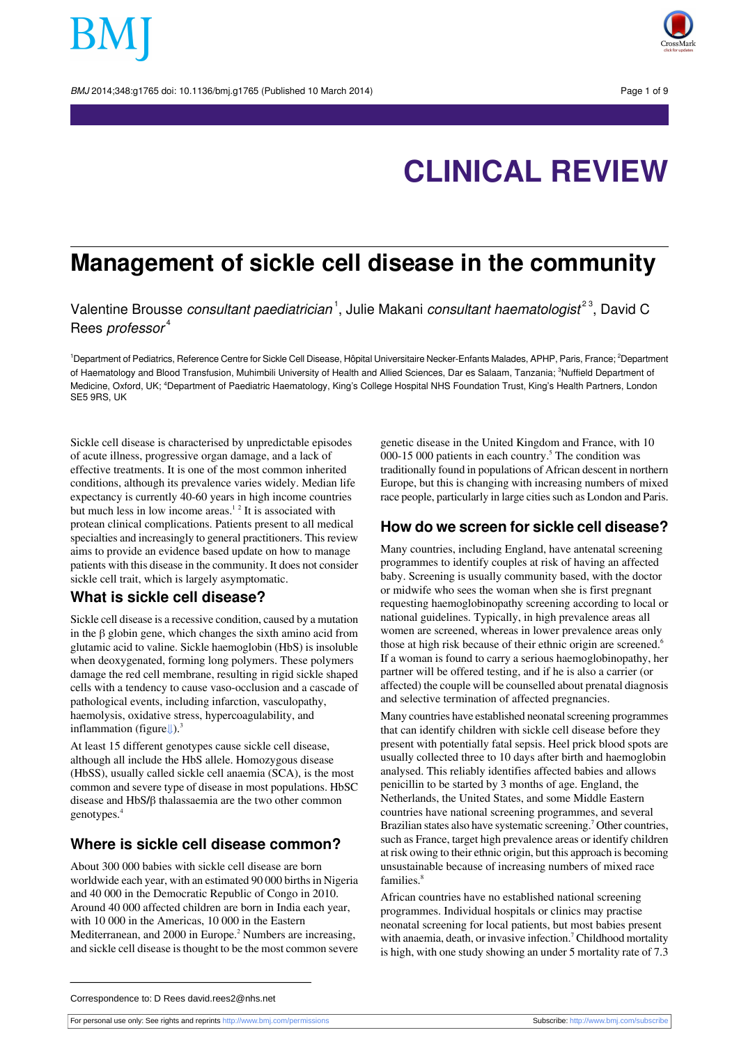BMJ 2014;348:g1765 doi: 10.1136/bmj.g1765 (Published 10 March 2014) Page 1 of 9



# **CLINICAL REVIEW**

## **Management of sickle cell disease in the community**

Valentine Brousse *consultant paediatrician* <sup>1</sup>, Julie Makani *consultant haematologist<sup>23</sup>,* David C Rees *professor*<sup>4</sup>

<sup>1</sup>Department of Pediatrics, Reference Centre for Sickle Cell Disease, Hôpital Universitaire Necker-Enfants Malades, APHP, Paris, France; <sup>2</sup>Department of Haematology and Blood Transfusion, Muhimbili University of Health and Allied Sciences, Dar es Salaam, Tanzania; <sup>3</sup>Nuffield Department of Medicine, Oxford, UK; <sup>4</sup>Department of Paediatric Haematology, King's College Hospital NHS Foundation Trust, King's Health Partners, London SE5 9RS, UK

Sickle cell disease is characterised by unpredictable episodes of acute illness, progressive organ damage, and a lack of effective treatments. It is one of the most common inherited conditions, although its prevalence varies widely. Median life expectancy is currently 40-60 years in high income countries but much less in low income areas. $1<sup>2</sup>$  It is associated with protean clinical complications. Patients present to all medical specialties and increasingly to general practitioners. This review aims to provide an evidence based update on how to manage patients with this disease in the community. It does not consider sickle cell trait, which is largely asymptomatic.

### **What is sickle cell disease?**

Sickle cell disease is a recessive condition, caused by a mutation in the β globin gene, which changes the sixth amino acid from glutamic acid to valine. Sickle haemoglobin (HbS) is insoluble when deoxygenated, forming long polymers. These polymers damage the red cell membrane, resulting in rigid sickle shaped cells with a tendency to cause vaso-occlusion and a cascade of pathological events, including infarction, vasculopathy, haemolysis, oxidative stress, hypercoagulability, and inflammation (figure $\downarrow$ ).<sup>3</sup>

At least 15 different genotypes cause sickle cell disease, although all include the HbS allele. Homozygous disease (HbSS), usually called sickle cell anaemia (SCA), is the most common and severe type of disease in most populations. HbSC disease and HbS**/**β thalassaemia are the two other common genotypes.<sup>4</sup>

## **Where is sickle cell disease common?**

About 300 000 babies with sickle cell disease are born worldwide each year, with an estimated 90 000 births in Nigeria and 40 000 in the Democratic Republic of Congo in 2010. Around 40 000 affected children are born in India each year, with 10 000 in the Americas, 10 000 in the Eastern Mediterranean, and 2000 in Europe.<sup>2</sup> Numbers are increasing, and sickle cell disease is thought to be the most common severe

genetic disease in the United Kingdom and France, with 10 000-15 000 patients in each country.<sup>5</sup> The condition was traditionally found in populations of African descent in northern Europe, but this is changing with increasing numbers of mixed race people, particularly in large cities such as London and Paris.

#### **How do we screen for sickle cell disease?**

Many countries, including England, have antenatal screening programmes to identify couples at risk of having an affected baby. Screening is usually community based, with the doctor or midwife who sees the woman when she is first pregnant requesting haemoglobinopathy screening according to local or national guidelines. Typically, in high prevalence areas all women are screened, whereas in lower prevalence areas only those at high risk because of their ethnic origin are screened.<sup>6</sup> If a woman is found to carry a serious haemoglobinopathy, her partner will be offered testing, and if he is also a carrier (or affected) the couple will be counselled about prenatal diagnosis and selective termination of affected pregnancies.

Many countries have established neonatal screening programmes that can identify children with sickle cell disease before they present with potentially fatal sepsis. Heel prick blood spots are usually collected three to 10 days after birth and haemoglobin analysed. This reliably identifies affected babies and allows penicillin to be started by 3 months of age. England, the Netherlands, the United States, and some Middle Eastern countries have national screening programmes, and several Brazilian states also have systematic screening.<sup>7</sup> Other countries, such as France, target high prevalence areas or identify children at risk owing to their ethnic origin, but this approach is becoming unsustainable because of increasing numbers of mixed race families<sup>8</sup>

African countries have no established national screening programmes. Individual hospitals or clinics may practise neonatal screening for local patients, but most babies present with anaemia, death, or invasive infection.<sup>7</sup> Childhood mortality is high, with one study showing an under 5 mortality rate of 7.3

Correspondence to: D Rees david.rees2@nhs.net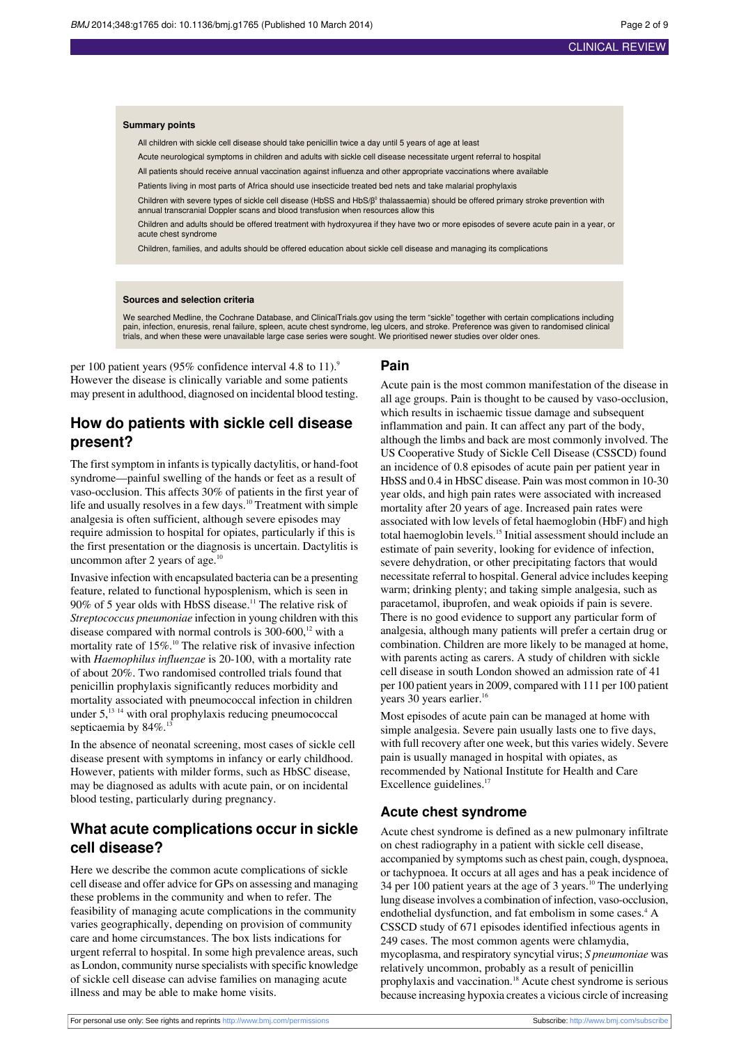#### **Summary points**

All children with sickle cell disease should take penicillin twice a day until 5 years of age at least

Acute neurological symptoms in children and adults with sickle cell disease necessitate urgent referral to hospital

All patients should receive annual vaccination against influenza and other appropriate vaccinations where available

Patients living in most parts of Africa should use insecticide treated bed nets and take malarial prophylaxis

Children with severe types of sickle cell disease (HbSS and HbS/β $^{\rm o}$  thalassaemia) should be offered primary stroke prevention with annual transcranial Doppler scans and blood transfusion when resources allow this

Children and adults should be offered treatment with hydroxyurea if they have two or more episodes of severe acute pain in a year, or acute chest syndrome

Children, families, and adults should be offered education about sickle cell disease and managing its complications

#### **Sources and selection criteria**

We searched Medline, the Cochrane Database, and ClinicalTrials.gov using the term "sickle" together with certain complications including pain, infection, enuresis, renal failure, spleen, acute chest syndrome, leg ulcers, and stroke. Preference was given to randomised clinical<br>trials, and when these were unavailable large case series were sought. We prioriti

per 100 patient years (95% confidence interval 4.8 to 11).<sup>9</sup> However the disease is clinically variable and some patients may present in adulthood, diagnosed on incidental blood testing.

## **How do patients with sickle cell disease present?**

The first symptom in infants is typically dactylitis, or hand-foot syndrome—painful swelling of the hands or feet as a result of vaso-occlusion. This affects 30% of patients in the first year of life and usually resolves in a few days.<sup>10</sup> Treatment with simple analgesia is often sufficient, although severe episodes may require admission to hospital for opiates, particularly if this is the first presentation or the diagnosis is uncertain. Dactylitis is uncommon after 2 years of age. $10$ 

Invasive infection with encapsulated bacteria can be a presenting feature, related to functional hyposplenism, which is seen in 90% of 5 year olds with HbSS disease.<sup>11</sup> The relative risk of *Streptococcus pneumoniae* infection in young children with this disease compared with normal controls is  $300-600$ ,<sup>12</sup> with a mortality rate of 15%.<sup>10</sup> The relative risk of invasive infection with *Haemophilus influenzae* is 20-100, with a mortality rate of about 20%. Two randomised controlled trials found that penicillin prophylaxis significantly reduces morbidity and mortality associated with pneumococcal infection in children under 5,<sup>13 14</sup> with oral prophylaxis reducing pneumococcal septicaemia by  $84\%$ .<sup>13</sup>

In the absence of neonatal screening, most cases of sickle cell disease present with symptoms in infancy or early childhood. However, patients with milder forms, such as HbSC disease, may be diagnosed as adults with acute pain, or on incidental blood testing, particularly during pregnancy.

### **What acute complications occur in sickle cell disease?**

Here we describe the common acute complications of sickle cell disease and offer advice for GPs on assessing and managing these problems in the community and when to refer. The feasibility of managing acute complications in the community varies geographically, depending on provision of community care and home circumstances. The box lists indications for urgent referral to hospital. In some high prevalence areas, such as London, community nurse specialists with specific knowledge of sickle cell disease can advise families on managing acute illness and may be able to make home visits.

#### **Pain**

Acute pain is the most common manifestation of the disease in all age groups. Pain is thought to be caused by vaso-occlusion, which results in ischaemic tissue damage and subsequent inflammation and pain. It can affect any part of the body, although the limbs and back are most commonly involved. The US Cooperative Study of Sickle Cell Disease (CSSCD) found an incidence of 0.8 episodes of acute pain per patient year in HbSS and 0.4 in HbSC disease. Pain was most common in 10-30 year olds, and high pain rates were associated with increased mortality after 20 years of age. Increased pain rates were associated with low levels of fetal haemoglobin (HbF) and high total haemoglobin levels.<sup>15</sup> Initial assessment should include an estimate of pain severity, looking for evidence of infection, severe dehydration, or other precipitating factors that would necessitate referral to hospital. General advice includes keeping warm; drinking plenty; and taking simple analgesia, such as paracetamol, ibuprofen, and weak opioids if pain is severe. There is no good evidence to support any particular form of analgesia, although many patients will prefer a certain drug or combination. Children are more likely to be managed at home, with parents acting as carers. A study of children with sickle cell disease in south London showed an admission rate of 41 per 100 patient yearsin 2009, compared with 111 per 100 patient years 30 years earlier.<sup>16</sup>

Most episodes of acute pain can be managed at home with simple analgesia. Severe pain usually lasts one to five days, with full recovery after one week, but this varies widely. Severe pain is usually managed in hospital with opiates, as recommended by National Institute for Health and Care Excellence guidelines.<sup>17</sup>

#### **Acute chest syndrome**

Acute chest syndrome is defined as a new pulmonary infiltrate on chest radiography in a patient with sickle cell disease, accompanied by symptoms such as chest pain, cough, dyspnoea, or tachypnoea. It occurs at all ages and has a peak incidence of 34 per 100 patient years at the age of 3 years.<sup>10</sup> The underlying lung disease involves a combination of infection, vaso-occlusion, endothelial dysfunction, and fat embolism in some cases.<sup>4</sup> A CSSCD study of 671 episodes identified infectious agents in 249 cases. The most common agents were chlamydia, mycoplasma, and respiratory syncytial virus; *S pneumoniae* was relatively uncommon, probably as a result of penicillin prophylaxis and vaccination.<sup>18</sup> Acute chest syndrome is serious because increasing hypoxia creates a vicious circle of increasing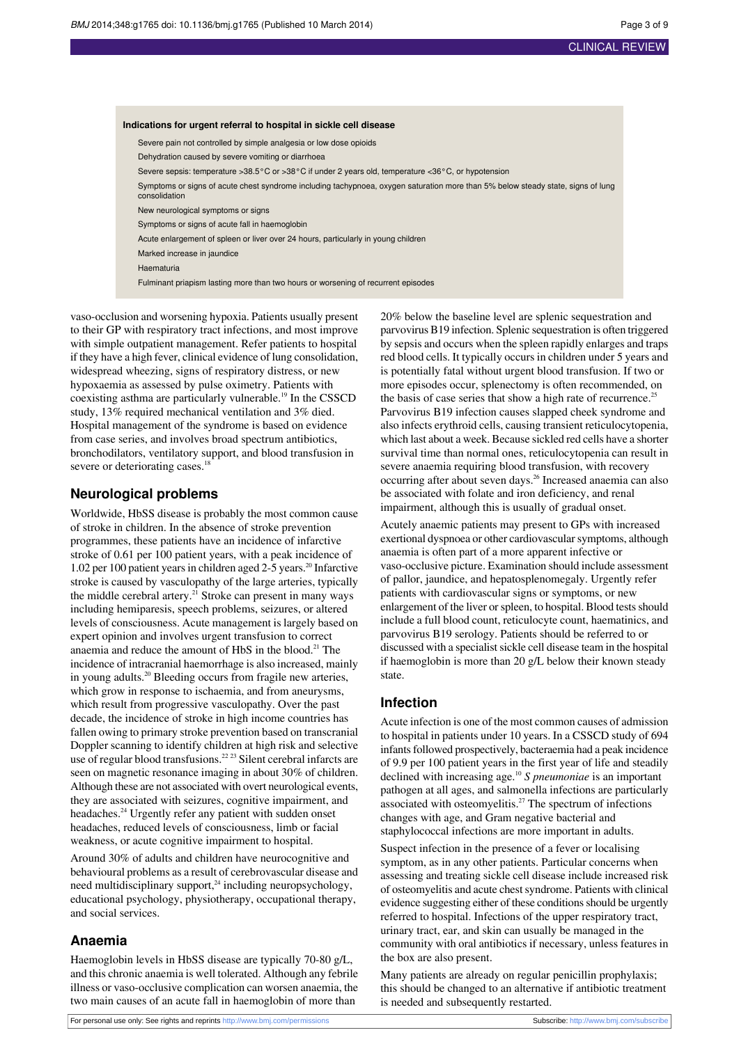#### **Indications for urgent referral to hospital in sickle cell disease**

Severe pain not controlled by simple analgesia or low dose opioids

- Dehydration caused by severe vomiting or diarrhoea
- Severe sepsis: temperature >38.5°C or >38°C if under 2 years old, temperature <36°C, or hypotension
- Symptoms or signs of acute chest syndrome including tachypnoea, oxygen saturation more than 5% below steady state, signs of lung consolidation
- New neurological symptoms or signs
- Symptoms or signs of acute fall in haemoglobin
- Acute enlargement of spleen or liver over 24 hours, particularly in young children
- Marked increase in jaundice
- Haematuria
- Fulminant priapism lasting more than two hours or worsening of recurrent episodes

vaso-occlusion and worsening hypoxia. Patients usually present to their GP with respiratory tract infections, and most improve with simple outpatient management. Refer patients to hospital if they have a high fever, clinical evidence of lung consolidation, widespread wheezing, signs of respiratory distress, or new hypoxaemia as assessed by pulse oximetry. Patients with coexisting asthma are particularly vulnerable.<sup>19</sup> In the CSSCD study, 13% required mechanical ventilation and 3% died. Hospital management of the syndrome is based on evidence from case series, and involves broad spectrum antibiotics, bronchodilators, ventilatory support, and blood transfusion in severe or deteriorating cases.<sup>18</sup>

#### **Neurological problems**

Worldwide, HbSS disease is probably the most common cause of stroke in children. In the absence of stroke prevention programmes, these patients have an incidence of infarctive stroke of 0.61 per 100 patient years, with a peak incidence of 1.02 per 100 patient years in children aged 2-5 years.<sup>20</sup> Infarctive stroke is caused by vasculopathy of the large arteries, typically the middle cerebral artery.<sup>21</sup> Stroke can present in many ways including hemiparesis, speech problems, seizures, or altered levels of consciousness. Acute management is largely based on expert opinion and involves urgent transfusion to correct anaemia and reduce the amount of HbS in the blood.<sup>21</sup> The incidence of intracranial haemorrhage is also increased, mainly in young adults.<sup>20</sup> Bleeding occurs from fragile new arteries, which grow in response to ischaemia, and from aneurysms, which result from progressive vasculopathy. Over the past decade, the incidence of stroke in high income countries has fallen owing to primary stroke prevention based on transcranial Doppler scanning to identify children at high risk and selective use of regular blood transfusions.<sup>22 23</sup> Silent cerebral infarcts are seen on magnetic resonance imaging in about 30% of children. Although these are not associated with overt neurological events, they are associated with seizures, cognitive impairment, and headaches.<sup>24</sup> Urgently refer any patient with sudden onset headaches, reduced levels of consciousness, limb or facial weakness, or acute cognitive impairment to hospital.

Around 30% of adults and children have neurocognitive and behavioural problems as a result of cerebrovascular disease and need multidisciplinary support, $24$  including neuropsychology, educational psychology, physiotherapy, occupational therapy, and social services.

#### **Anaemia**

Haemoglobin levels in HbSS disease are typically 70-80 g/L, and this chronic anaemia is well tolerated. Although any febrile illness or vaso-occlusive complication can worsen anaemia, the two main causes of an acute fall in haemoglobin of more than

20% below the baseline level are splenic sequestration and parvovirus B19 infection. Splenic sequestration is often triggered by sepsis and occurs when the spleen rapidly enlarges and traps red blood cells. It typically occurs in children under 5 years and is potentially fatal without urgent blood transfusion. If two or more episodes occur, splenectomy is often recommended, on the basis of case series that show a high rate of recurrence.<sup>25</sup> Parvovirus B19 infection causes slapped cheek syndrome and also infects erythroid cells, causing transient reticulocytopenia, which last about a week. Because sickled red cells have a shorter survival time than normal ones, reticulocytopenia can result in severe anaemia requiring blood transfusion, with recovery occurring after about seven days.<sup>26</sup> Increased anaemia can also be associated with folate and iron deficiency, and renal impairment, although this is usually of gradual onset.

Acutely anaemic patients may present to GPs with increased exertional dyspnoea or other cardiovascular symptoms, although anaemia is often part of a more apparent infective or vaso-occlusive picture. Examination should include assessment of pallor, jaundice, and hepatosplenomegaly. Urgently refer patients with cardiovascular signs or symptoms, or new enlargement of the liver or spleen, to hospital. Blood tests should include a full blood count, reticulocyte count, haematinics, and parvovirus B19 serology. Patients should be referred to or discussed with a specialist sickle cell disease team in the hospital if haemoglobin is more than 20 g/L below their known steady state.

#### **Infection**

Acute infection is one of the most common causes of admission to hospital in patients under 10 years. In a CSSCD study of 694 infants followed prospectively, bacteraemia had a peak incidence of 9.9 per 100 patient years in the first year of life and steadily declined with increasing age.<sup>10</sup> *S pneumoniae* is an important pathogen at all ages, and salmonella infections are particularly associated with osteomyelitis.<sup>27</sup> The spectrum of infections changes with age, and Gram negative bacterial and staphylococcal infections are more important in adults.

Suspect infection in the presence of a fever or localising symptom, as in any other patients. Particular concerns when assessing and treating sickle cell disease include increased risk of osteomyelitis and acute chest syndrome. Patients with clinical evidence suggesting either of these conditions should be urgently referred to hospital. Infections of the upper respiratory tract, urinary tract, ear, and skin can usually be managed in the community with oral antibiotics if necessary, unless features in the box are also present.

Many patients are already on regular penicillin prophylaxis; this should be changed to an alternative if antibiotic treatment is needed and subsequently restarted.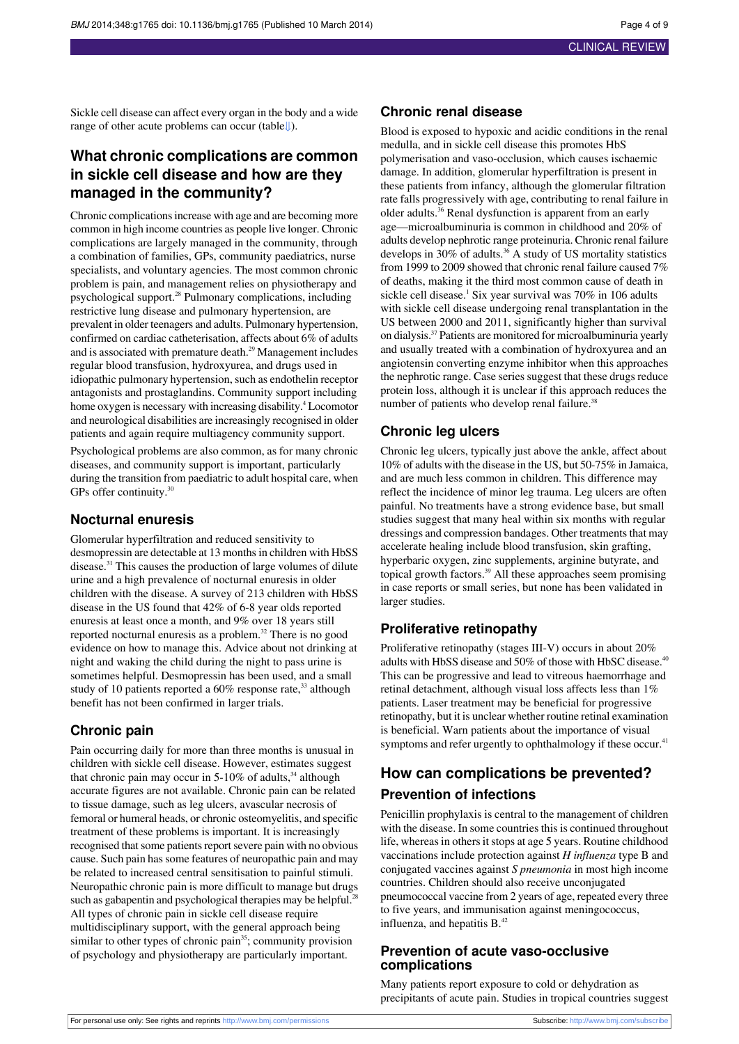Sickle cell disease can affect every organ in the body and a wide range of other acute problems can occur (table[⇓\)](#page-7-0).

## **What chronic complications are common in sickle cell disease and how are they managed in the community?**

Chronic complications increase with age and are becoming more common in high income countries as people live longer. Chronic complications are largely managed in the community, through a combination of families, GPs, community paediatrics, nurse specialists, and voluntary agencies. The most common chronic problem is pain, and management relies on physiotherapy and psychological support.<sup>28</sup> Pulmonary complications, including restrictive lung disease and pulmonary hypertension, are prevalent in older teenagers and adults. Pulmonary hypertension, confirmed on cardiac catheterisation, affects about 6% of adults and is associated with premature death.<sup>29</sup> Management includes regular blood transfusion, hydroxyurea, and drugs used in idiopathic pulmonary hypertension, such as endothelin receptor antagonists and prostaglandins. Community support including home oxygen is necessary with increasing disability.<sup>4</sup> Locomotor and neurological disabilities are increasingly recognised in older patients and again require multiagency community support.

Psychological problems are also common, as for many chronic diseases, and community support is important, particularly during the transition from paediatric to adult hospital care, when GPs offer continuity.<sup>30</sup>

#### **Nocturnal enuresis**

Glomerular hyperfiltration and reduced sensitivity to desmopressin are detectable at 13 months in children with HbSS disease.<sup>31</sup> This causes the production of large volumes of dilute urine and a high prevalence of nocturnal enuresis in older children with the disease. A survey of 213 children with HbSS disease in the US found that 42% of 6-8 year olds reported enuresis at least once a month, and 9% over 18 years still reported nocturnal enuresis as a problem.<sup>32</sup> There is no good evidence on how to manage this. Advice about not drinking at night and waking the child during the night to pass urine is sometimes helpful. Desmopressin has been used, and a small study of 10 patients reported a  $60\%$  response rate,<sup>33</sup> although benefit has not been confirmed in larger trials.

#### **Chronic pain**

Pain occurring daily for more than three months is unusual in children with sickle cell disease. However, estimates suggest that chronic pain may occur in  $5-10\%$  of adults,<sup>34</sup> although accurate figures are not available. Chronic pain can be related to tissue damage, such as leg ulcers, avascular necrosis of femoral or humeral heads, or chronic osteomyelitis, and specific treatment of these problems is important. It is increasingly recognised that some patients report severe pain with no obvious cause. Such pain hassome features of neuropathic pain and may be related to increased central sensitisation to painful stimuli. Neuropathic chronic pain is more difficult to manage but drugs such as gabapentin and psychological therapies may be helpful.<sup>28</sup> All types of chronic pain in sickle cell disease require multidisciplinary support, with the general approach being similar to other types of chronic pain<sup>35</sup>; community provision of psychology and physiotherapy are particularly important.

#### **Chronic renal disease**

Blood is exposed to hypoxic and acidic conditions in the renal medulla, and in sickle cell disease this promotes HbS polymerisation and vaso-occlusion, which causes ischaemic damage. In addition, glomerular hyperfiltration is present in these patients from infancy, although the glomerular filtration rate falls progressively with age, contributing to renal failure in older adults.<sup>36</sup> Renal dysfunction is apparent from an early age—microalbuminuria is common in childhood and 20% of adults develop nephrotic range proteinuria. Chronic renal failure develops in  $30\%$  of adults.<sup>36</sup> A study of US mortality statistics from 1999 to 2009 showed that chronic renal failure caused 7% of deaths, making it the third most common cause of death in sickle cell disease.<sup>1</sup> Six year survival was  $70\%$  in 106 adults with sickle cell disease undergoing renal transplantation in the US between 2000 and 2011, significantly higher than survival on dialysis.<sup>37</sup> Patients are monitored for microalbuminuria yearly and usually treated with a combination of hydroxyurea and an angiotensin converting enzyme inhibitor when this approaches the nephrotic range. Case series suggest that these drugs reduce protein loss, although it is unclear if this approach reduces the number of patients who develop renal failure.<sup>38</sup>

### **Chronic leg ulcers**

Chronic leg ulcers, typically just above the ankle, affect about 10% of adults with the disease in the US, but 50-75% in Jamaica, and are much less common in children. This difference may reflect the incidence of minor leg trauma. Leg ulcers are often painful. No treatments have a strong evidence base, but small studies suggest that many heal within six months with regular dressings and compression bandages. Other treatments that may accelerate healing include blood transfusion, skin grafting, hyperbaric oxygen, zinc supplements, arginine butyrate, and topical growth factors.<sup>39</sup> All these approaches seem promising in case reports or small series, but none has been validated in larger studies.

### **Proliferative retinopathy**

Proliferative retinopathy (stages III-V) occurs in about 20% adults with HbSS disease and 50% of those with HbSC disease.<sup>40</sup> This can be progressive and lead to vitreous haemorrhage and retinal detachment, although visual loss affects less than 1% patients. Laser treatment may be beneficial for progressive retinopathy, but it is unclear whether routine retinal examination is beneficial. Warn patients about the importance of visual symptoms and refer urgently to ophthalmology if these occur.<sup>41</sup>

## **How can complications be prevented? Prevention of infections**

Penicillin prophylaxis is central to the management of children with the disease. In some countries this is continued throughout life, whereas in others it stops at age 5 years. Routine childhood vaccinations include protection against *H influenza* type B and conjugated vaccines against *S pneumonia* in most high income countries. Children should also receive unconjugated pneumococcal vaccine from 2 years of age, repeated every three to five years, and immunisation against meningococcus, influenza, and hepatitis B.<sup>42</sup>

### **Prevention of acute vaso-occlusive complications**

Many patients report exposure to cold or dehydration as precipitants of acute pain. Studies in tropical countries suggest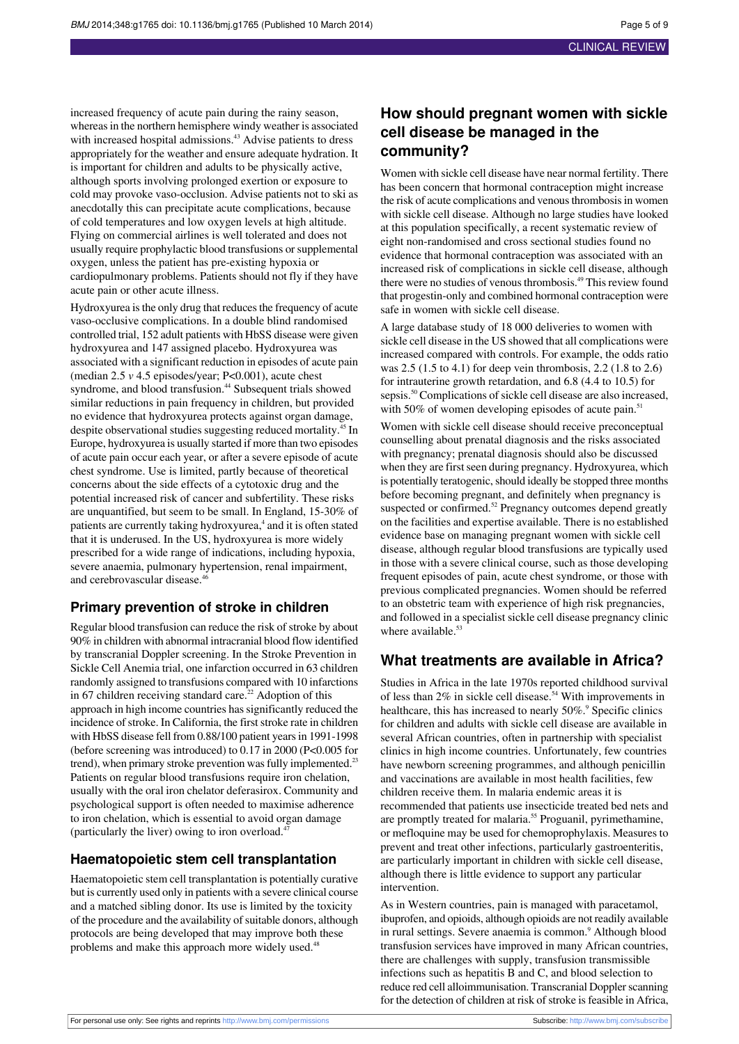increased frequency of acute pain during the rainy season, whereas in the northern hemisphere windy weather is associated with increased hospital admissions.<sup>43</sup> Advise patients to dress appropriately for the weather and ensure adequate hydration. It is important for children and adults to be physically active, although sports involving prolonged exertion or exposure to cold may provoke vaso-occlusion. Advise patients not to ski as anecdotally this can precipitate acute complications, because of cold temperatures and low oxygen levels at high altitude. Flying on commercial airlines is well tolerated and does not usually require prophylactic blood transfusions or supplemental oxygen, unless the patient has pre-existing hypoxia or cardiopulmonary problems. Patients should not fly if they have acute pain or other acute illness.

Hydroxyurea is the only drug that reduces the frequency of acute vaso-occlusive complications. In a double blind randomised controlled trial, 152 adult patients with HbSS disease were given hydroxyurea and 147 assigned placebo. Hydroxyurea was associated with a significant reduction in episodes of acute pain (median 2.5 *v* 4.5 episodes/year; P<0.001), acute chest syndrome, and blood transfusion.<sup>44</sup> Subsequent trials showed similar reductions in pain frequency in children, but provided no evidence that hydroxyurea protects against organ damage, despite observational studies suggesting reduced mortality.<sup>45</sup> In Europe, hydroxyurea is usually started if more than two episodes of acute pain occur each year, or after a severe episode of acute chest syndrome. Use is limited, partly because of theoretical concerns about the side effects of a cytotoxic drug and the potential increased risk of cancer and subfertility. These risks are unquantified, but seem to be small. In England, 15-30% of patients are currently taking hydroxyurea,<sup>4</sup> and it is often stated that it is underused. In the US, hydroxyurea is more widely prescribed for a wide range of indications, including hypoxia, severe anaemia, pulmonary hypertension, renal impairment, and cerebrovascular disease.<sup>46</sup>

### **Primary prevention of stroke in children**

Regular blood transfusion can reduce the risk of stroke by about 90% in children with abnormal intracranial blood flow identified by transcranial Doppler screening. In the Stroke Prevention in Sickle Cell Anemia trial, one infarction occurred in 63 children randomly assigned to transfusions compared with 10 infarctions in 67 children receiving standard care.<sup>22</sup> Adoption of this approach in high income countries hassignificantly reduced the incidence of stroke. In California, the first stroke rate in children with HbSS disease fell from 0.88/100 patient years in 1991-1998 (before screening was introduced) to 0.17 in 2000 (P<0.005 for trend), when primary stroke prevention was fully implemented.<sup>23</sup> Patients on regular blood transfusions require iron chelation, usually with the oral iron chelator deferasirox. Community and psychological support is often needed to maximise adherence to iron chelation, which is essential to avoid organ damage (particularly the liver) owing to iron overload.<sup>47</sup>

#### **Haematopoietic stem cell transplantation**

Haematopoietic stem cell transplantation is potentially curative but is currently used only in patients with a severe clinical course and a matched sibling donor. Its use is limited by the toxicity of the procedure and the availability of suitable donors, although protocols are being developed that may improve both these problems and make this approach more widely used.<sup>48</sup>

## **How should pregnant women with sickle cell disease be managed in the community?**

Women with sickle cell disease have near normal fertility. There has been concern that hormonal contraception might increase the risk of acute complications and venous thrombosis in women with sickle cell disease. Although no large studies have looked at this population specifically, a recent systematic review of eight non-randomised and cross sectional studies found no evidence that hormonal contraception was associated with an increased risk of complications in sickle cell disease, although there were no studies of venous thrombosis.<sup>49</sup> This review found that progestin-only and combined hormonal contraception were safe in women with sickle cell disease.

A large database study of 18 000 deliveries to women with sickle cell disease in the US showed that all complications were increased compared with controls. For example, the odds ratio was 2.5 (1.5 to 4.1) for deep vein thrombosis, 2.2 (1.8 to 2.6) for intrauterine growth retardation, and 6.8 (4.4 to 10.5) for sepsis.<sup>50</sup> Complications of sickle cell disease are also increased, with 50% of women developing episodes of acute pain.<sup>51</sup>

Women with sickle cell disease should receive preconceptual counselling about prenatal diagnosis and the risks associated with pregnancy; prenatal diagnosis should also be discussed when they are first seen during pregnancy. Hydroxyurea, which is potentially teratogenic, should ideally be stopped three months before becoming pregnant, and definitely when pregnancy is suspected or confirmed.<sup>52</sup> Pregnancy outcomes depend greatly on the facilities and expertise available. There is no established evidence base on managing pregnant women with sickle cell disease, although regular blood transfusions are typically used in those with a severe clinical course, such as those developing frequent episodes of pain, acute chest syndrome, or those with previous complicated pregnancies. Women should be referred to an obstetric team with experience of high risk pregnancies, and followed in a specialist sickle cell disease pregnancy clinic where available. $53$ 

## **What treatments are available in Africa?**

Studies in Africa in the late 1970s reported childhood survival of less than 2% in sickle cell disease.<sup>54</sup> With improvements in healthcare, this has increased to nearly 50%.<sup>9</sup> Specific clinics for children and adults with sickle cell disease are available in several African countries, often in partnership with specialist clinics in high income countries. Unfortunately, few countries have newborn screening programmes, and although penicillin and vaccinations are available in most health facilities, few children receive them. In malaria endemic areas it is recommended that patients use insecticide treated bed nets and are promptly treated for malaria.<sup>55</sup> Proguanil, pyrimethamine, or mefloquine may be used for chemoprophylaxis. Measures to prevent and treat other infections, particularly gastroenteritis, are particularly important in children with sickle cell disease, although there is little evidence to support any particular intervention.

As in Western countries, pain is managed with paracetamol, ibuprofen, and opioids, although opioids are not readily available in rural settings. Severe anaemia is common.<sup>9</sup> Although blood transfusion services have improved in many African countries, there are challenges with supply, transfusion transmissible infections such as hepatitis B and C, and blood selection to reduce red cell alloimmunisation. Transcranial Doppler scanning for the detection of children at risk of stroke is feasible in Africa,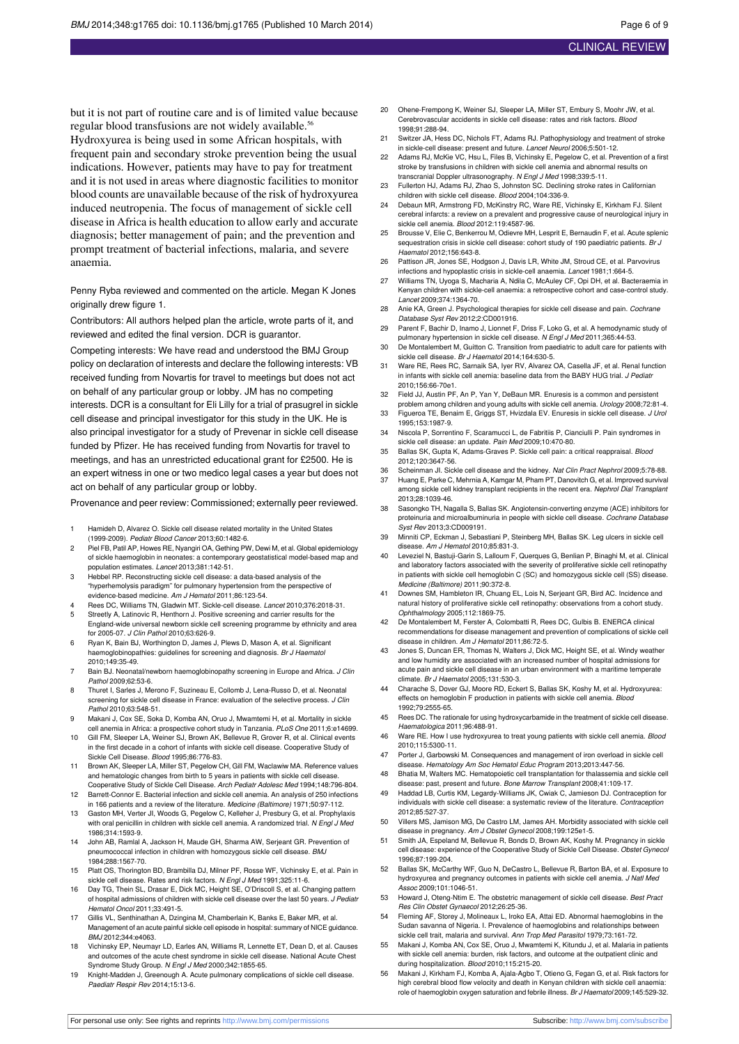but it is not part of routine care and is of limited value because regular blood transfusions are not widely available.<sup>56</sup> Hydroxyurea is being used in some African hospitals, with frequent pain and secondary stroke prevention being the usual indications. However, patients may have to pay for treatment and it is not used in areas where diagnostic facilities to monitor blood counts are unavailable because of the risk of hydroxyurea induced neutropenia. The focus of management of sickle cell disease in Africa is health education to allow early and accurate diagnosis; better management of pain; and the prevention and prompt treatment of bacterial infections, malaria, and severe anaemia.

Penny Ryba reviewed and commented on the article. Megan K Jones originally drew figure 1.

Contributors: All authors helped plan the article, wrote parts of it, and reviewed and edited the final version. DCR is guarantor.

Competing interests: We have read and understood the BMJ Group policy on declaration of interests and declare the following interests: VB received funding from Novartis for travel to meetings but does not act on behalf of any particular group or lobby. JM has no competing interests. DCR is a consultant for Eli Lilly for a trial of prasugrel in sickle cell disease and principal investigator for this study in the UK. He is also principal investigator for a study of Prevenar in sickle cell disease funded by Pfizer. He has received funding from Novartis for travel to meetings, and has an unrestricted educational grant for £2500. He is an expert witness in one or two medico legal cases a year but does not act on behalf of any particular group or lobby.

Provenance and peer review: Commissioned; externally peer reviewed.

- Hamideh D, Alvarez O. Sickle cell disease related mortality in the United States (1999-2009). Pediatr Blood Cancer 2013;60:1482-6.
- 2 Piel FB, Patil AP, Howes RE, Nyangiri OA, Gething PW, Dewi M, et al. Global epidemiology of sickle haemoglobin in neonates: a contemporary geostatistical model-based map and population estimates. Lancet 2013;381:142-51.
- 3 Hebbel RP. Reconstructing sickle cell disease: a data-based analysis of the "hyperhemolysis paradigm" for pulmonary hypertension from the perspective of evidence-based medicine. Am J Hematol 2011;86:123-54.
- Rees DC, Williams TN, Gladwin MT. Sickle-cell disease. Lancet 2010;376:2018-31. 5 Streetly A, Latinovic R, Henthorn J. Positive screening and carrier results for the England-wide universal newborn sickle cell screening programme by ethnicity and area
- for 2005-07. J Clin Pathol 2010;63:626-9. 6 Ryan K, Bain BJ, Worthington D, James J, Plews D, Mason A, et al. Significant
- haemoglobinopathies: guidelines for screening and diagnosis. Br J Haematol 2010;149:35-49.
- Bain BJ. Neonatal/newborn haemoglobinopathy screening in Europe and Africa. J Clin Pathol 2009;62:53-6. 8 Thuret I, Sarles J, Merono E, Suzineau E, Collomb J, Lena-Russo D, et al. Neonatal
- screening for sickle cell disease in France: evaluation of the selective process. J Clin Pathol 2010;63:548-51.
- 9 Makani J, Cox SE, Soka D, Komba AN, Oruo J, Mwamtemi H, et al. Mortality in sickle cell anemia in Africa: a prospective cohort study in Tanzania. PLoS One 2011;6:e14699.
- 10 Gill FM, Sleeper LA, Weiner SJ, Brown AK, Bellevue R, Grover R, et al. Clinical events in the first decade in a cohort of infants with sickle cell disease. Cooperative Study of Sickle Cell Disease. Blood 1995;86:776-83.
- 11 Brown AK, Sleeper LA, Miller ST, Pegelow CH, Gill FM, Waclawiw MA. Reference values and hematologic changes from birth to 5 years in patients with sickle cell diseas Cooperative Study of Sickle Cell Disease. Arch Pediatr Adolesc Med 1994;148:796-804.
- 12 Barrett-Connor E. Bacterial infection and sickle cell anemia. An analysis of 250 infections in 166 patients and a review of the literature. Medicine (Baltimore) 1971;50:97-112.
- 13 Gaston MH, Verter JI, Woods G, Pegelow C, Kelleher J, Presbury G, et al. Prophylaxis with oral penicillin in children with sickle cell anemia. A randomized trial. N Engl J Med 1986;314:1593-9.
- 14 John AB, Ramlal A, Jackson H, Maude GH, Sharma AW, Serjeant GR. Prevention of pneumococcal infection in children with homozygous sickle cell disease. BMJ 1984;288:1567-70.
- 15 Platt OS, Thorington BD, Brambilla DJ, Milner PF, Rosse WF, Vichinsky E, et al. Pain in sickle cell disease. Rates and risk factors. N Engl J Med 1991;325:11-6.
- 16 Day TG, Thein SL, Drasar E, Dick MC, Height SE, O'Driscoll S, et al. Changing pattern of hospital admissions of children with sickle cell disease over the last 50 years. J Pediatr Hematol Oncol 2011;33:491-5.
- 17 Gillis VL, Senthinathan A, Dzingina M, Chamberlain K, Banks E, Baker MR, et al. Management of an acute painful sickle cell episode in hospital: summary of NICE guidance. BMJ 2012;344:e4063.
- 18 Vichinsky EP, Neumayr LD, Earles AN, Williams R, Lennette ET, Dean D, et al. Causes and outcomes of the acute chest syndrome in sickle cell disease. National Acute Chest Syndrome Study Group. N Engl J Med 2000;342:1855-65.
- 19 Knight-Madden J, Greenough A. Acute pulmonary complications of sickle cell disease. Paediatr Respir Rev 2014;15:13-6.
- 20 Ohene-Frempong K, Weiner SJ, Sleeper LA, Miller ST, Embury S, Moohr JW, et al. Cerebrovascular accidents in sickle cell disease: rates and risk factors. Blood 1998;91:288-94.
- 21 Switzer JA, Hess DC, Nichols FT, Adams RJ. Pathophysiology and treatment of stroke in sickle-cell disease: present and future. Lancet Neurol 2006;5:501-12.
- 22 Adams RJ, McKie VC, Hsu L, Files B, Vichinsky E, Pegelow C, et al. Prevention of a first stroke by transfusions in children with sickle cell anemia and abnormal results on transcranial Doppler ultrasonography. N Engl J Med 1998;339:5-11.
- 23 Fullerton HJ, Adams RJ, Zhao S, Johnston SC. Declining stroke rates in Californian children with sickle cell disease. Blood 2004;104:336-9.
- 24 Debaun MR, Armstrong FD, McKinstry RC, Ware RE, Vichinsky E, Kirkham FJ. Silent cerebral infarcts: a review on a prevalent and progressive cause of neurological injury in sickle cell anemia. Blood 2012:119:4587-96
- 25 Brousse V, Elie C, Benkerrou M, Odievre MH, Lesprit E, Bernaudin F, et al. Acute splenic sequestration crisis in sickle cell disease: cohort study of 190 paediatric patients. Br J Haematol 2012;156:643-8.
- 26 Pattison JR, Jones SE, Hodgson J, Davis LR, White JM, Stroud CE, et al. Parvovirus infections and hypoplastic crisis in sickle-cell anaemia. Lancet 1981;1:664-5.
- 27 Williams TN, Uyoga S, Macharia A, Ndila C, McAuley CF, Opi DH, et al. Bacteraemia in Kenyan children with sickle-cell anaemia: a retrospective cohort and case-control study. Lancet 2009;374:1364-70.
- 28 Anie KA, Green J. Psychological therapies for sickle cell disease and pain. Cochrane Database Syst Rev 2012;2:CD001916.
- 29 Parent F, Bachir D, Inamo J, Lionnet F, Driss F, Loko G, et al. A hemodynamic study of pulmonary hypertension in sickle cell disease. N Engl J Med 2011;365:44-53.
- 30 De Montalembert M, Guitton C. Transition from paediatric to adult care for patie sickle cell disease. Br J Haematol 2014;164:630-5.
- 31 Ware RE, Rees RC, Sarnaik SA, Iyer RV, Alvarez OA, Casella JF, et al. Renal function in infants with sickle cell anemia: baseline data from the BABY HUG trial. J Pediatric 2010;156:66-70e1.
- 32 Field JJ, Austin PF, An P, Yan Y, DeBaun MR. Enuresis is a common and persistent problem among children and young adults with sickle cell anemia. Urology 2008;72:81-4.
- 33 Figueroa TE, Benaim E, Griggs ST, Hvizdala EV. Enuresis in sickle cell disease. J Urol 1995;153:1987-9.
- 34 Niscola P, Sorrentino F, Scaramucci L, de Fabritiis P, Cianciulli P. Pain syndromes in sickle cell disease: an update. Pain Med 2009;10:470-80.
- 35 Ballas SK, Gupta K, Adams-Graves P. Sickle cell pain: a critical reappraisal. Blood 2012;120:3647-56.
- 36 Scheinman JI. Sickle cell disease and the kidney. Nat Clin Pract Nephrol 2009;5:78-88.
- Huang E, Parke C, Mehrnia A, Kamgar M, Pham PT, Danovitch G, et al. Improved survival among sickle cell kidney transplant recipients in the recent era. Nephrol Dial Transplant 2013;28:1039-46.
- 38 Sasongko TH, Nagalla S, Ballas SK. Angiotensin-converting enzyme (ACE) inhibitors for proteinuria and microalbuminuria in people with sickle cell disease. Cochrane Database Syst Rev 2013;3:CD009191.
- 39 Minniti CP, Eckman J, Sebastiani P, Steinberg MH, Ballas SK. Leg ulcers in sickle cell disease. Am J Hematol 2010;85:831-3.
- 40 Leveziel N, Bastuji-Garin S, Lalloum F, Querques G, Benlian P, Binaghi M, et al. Clinical and laboratory factors associated with the severity of proliferative sickle cell retinopathy in patients with sickle cell hemoglobin C (SC) and homozygous sickle cell (SS) disease. Medicine (Baltimore) 2011;90:372-8.
- 41 Downes SM, Hambleton IR, Chuang EL, Lois N, Serjeant GR, Bird AC. Incidence and natural history of proliferative sickle cell retinopathy: observations from a cohort study. Ophthalmology 2005;112:1869-75.
- 42 De Montalembert M, Ferster A, Colombatti R, Rees DC, Gulbis B. ENERCA clinical recommendations for disease management and prevention of complications of sickle cell disease in children. Am J Hematol 2011;86:72-5.
- Jones S, Duncan ER, Thomas N, Walters J, Dick MC, Height SE, et al. Windy weather and low humidity are associated with an increased number of hospital admissions for acute pain and sickle cell disease in an urban environment with a maritime temperate climate. Br J Haematol 2005;131:530-3.
- 44 Charache S, Dover GJ, Moore RD, Eckert S, Ballas SK, Koshy M, et al. Hydroxyurea: effects on hemoglobin F production in patients with sickle cell anemia. Blood 1992;79:2555-65.
- Rees DC. The rationale for using hydroxycarbamide in the treatment of sickle cell disea Haematologica 2011;96:488-91.
- 46 Ware RE. How I use hydroxyurea to treat young patients with sickle cell anemia. Blood 2010;115:5300-11.
- Porter J, Garbowski M. Consequences and management of iron overload in sickle cell disease. Hematology Am Soc Hematol Educ Program 2013;2013:447-56.
- 48 Bhatia M, Walters MC. Hematopoietic cell transplantation for thalassemia and sickle cell disease: past, present and future. Bone Marrow Transplant 2008;41:109-17.
- 49 Haddad LB, Curtis KM, Legardy-Williams JK, Cwiak C, Jamieson DJ. Contraception for individuals with sickle cell disease: a systematic review of the literature. Contraception 2012;85:527-37.
- 50 Villers MS, Jamison MG, De Castro LM, James AH. Morbidity associated with sickle cell disease in pregnancy. Am J Obstet Gynecol 2008;199:125e1-5.
- 51 Smith JA, Espeland M, Bellevue R, Bonds D, Brown AK, Koshy M. Pregnancy in sickle cell disease: experience of the Cooperative Study of Sickle Cell Disease. Obstet Gynecol 1996;87:199-204.
- 52 Ballas SK, McCarthy WF, Guo N, DeCastro L, Bellevue R, Barton BA, et al. Exposure to hydroxyurea and pregnancy outcomes in patients with sickle cell anemia. J Natl Med Assoc 2009;101:1046-51.
- 53 Howard J, Oteng-Ntim E. The obstetric management of sickle cell disease. Best Pract Res Clin Obstet Gynaecol 2012;26:25-36.
- 54 Fleming AF, Storey J, Molineaux L, Iroko EA, Attai ED. Abnormal haemoglobins in the Sudan savanna of Nigeria. I. Prevalence of haemoglobins and relationships between sickle cell trait, malaria and survival. Ann Trop Med Parasitol 1979;73:161-72.
- 55 Makani J, Komba AN, Cox SE, Oruo J, Mwamtemi K, Kitundu J, et al. Malaria in patients with sickle cell anemia: burden, risk factors, and outcome at the outpatient clinic and during hospitalization. Blood 2010;115:215-20.
- 56 Makani J, Kirkham FJ, Komba A, Ajala-Agbo T, Otieno G, Fegan G, et al. Risk factors for high cerebral blood flow velocity and death in Kenyan children with sickle cell anaem role of haemoglobin oxygen saturation and febrile illness. Br J Haematol 2009;145:529-32.

CLINICAL REVIEW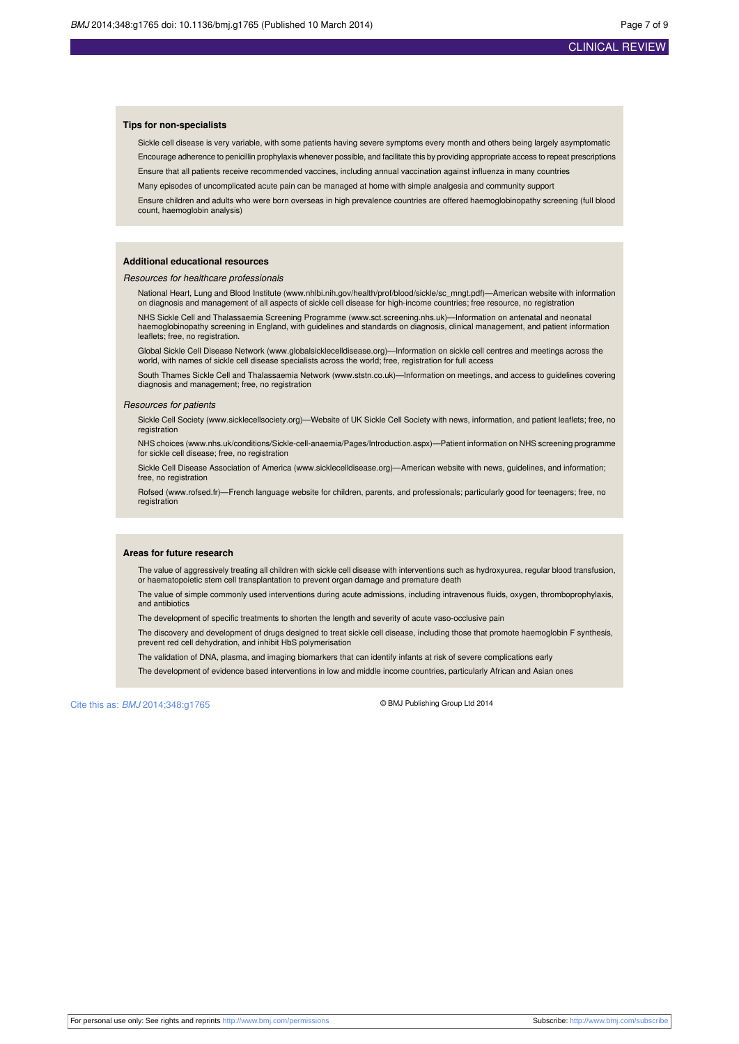#### CLINICAL REVIEW

#### **Tips for non-specialists**

Sickle cell disease is very variable, with some patients having severe symptoms every month and others being largely asymptomatic Encourage adherence to penicillin prophylaxis whenever possible, and facilitate this by providing appropriate access to repeat prescriptions Ensure that all patients receive recommended vaccines, including annual vaccination against influenza in many countries

Many episodes of uncomplicated acute pain can be managed at home with simple analgesia and community support

Ensure children and adults who were born overseas in high prevalence countries are offered haemoglobinopathy screening (full blood count, haemoglobin analysis)

#### **Additional educational resources**

#### Resources for healthcare professionals

National Heart, Lung and Blood Institute ([www.nhlbi.nih.gov/health/prof/blood/sickle/sc\\_mngt.pdf\)](http://www.nhlbi.nih.gov/health/prof/blood/sickle/sc_mngt.pdf)—American website with information on diagnosis and management of all aspects of sickle cell disease for high-income countries; free resource, no registration

NHS Sickle Cell and Thalassaemia Screening Programme [\(www.sct.screening.nhs.uk](http://www.sct.screening.nhs.uk/))—Information on antenatal and neonatal haemoglobinopathy screening in England, with guidelines and standards on diagnosis, clinical management, and patient information leaflets; free, no registration.

Global Sickle Cell Disease Network [\(www.globalsicklecelldisease.org](http://www.globalsicklecelldisease.org/))—Information on sickle cell centres and meetings across the world, with names of sickle cell disease specialists across the world; free, registration for full access

South Thames Sickle Cell and Thalassaemia Network ([www.ststn.co.uk\)](http://www.ststn.co.uk/)—Information on meetings, and access to guidelines covering diagnosis and management; free, no registration

#### Resources for patients

Sickle Cell Society [\(www.sicklecellsociety.org\)](http://www.sicklecellsociety.org/)—Website of UK Sickle Cell Society with news, information, and patient leaflets; free, no registration

NHS choices ([www.nhs.uk/conditions/Sickle-cell-anaemia/Pages/Introduction.aspx](http://www.nhs.uk/conditions/Sickle-cell-anaemia/Pages/Introduction.aspx))—Patient information on NHS screening programme for sickle cell disease; free, no registration

Sickle Cell Disease Association of America ([www.sicklecelldisease.org](http://www.sicklecelldisease.org/))—American website with news, guidelines, and information; free, no registration

Rofsed ([www.rofsed.fr\)](http://www.rofsed.fr/)—French language website for children, parents, and professionals; particularly good for teenagers; free, no registration

#### **Areas for future research**

The value of aggressively treating all children with sickle cell disease with interventions such as hydroxyurea, regular blood transfusion, or haematopoietic stem cell transplantation to prevent organ damage and premature death

The value of simple commonly used interventions during acute admissions, including intravenous fluids, oxygen, thromboprophylaxis, and antibiotics

The development of specific treatments to shorten the length and severity of acute vaso-occlusive pain

The discovery and development of drugs designed to treat sickle cell disease, including those that promote haemoglobin F synthesis, prevent red cell dehydration, and inhibit HbS polymerisation

The validation of DNA, plasma, and imaging biomarkers that can identify infants at risk of severe complications early

The development of evidence based interventions in low and middle income countries, particularly African and Asian ones

Cite this as: BMJ 2014;348:g1765 © BMJ Publishing Group Ltd 2014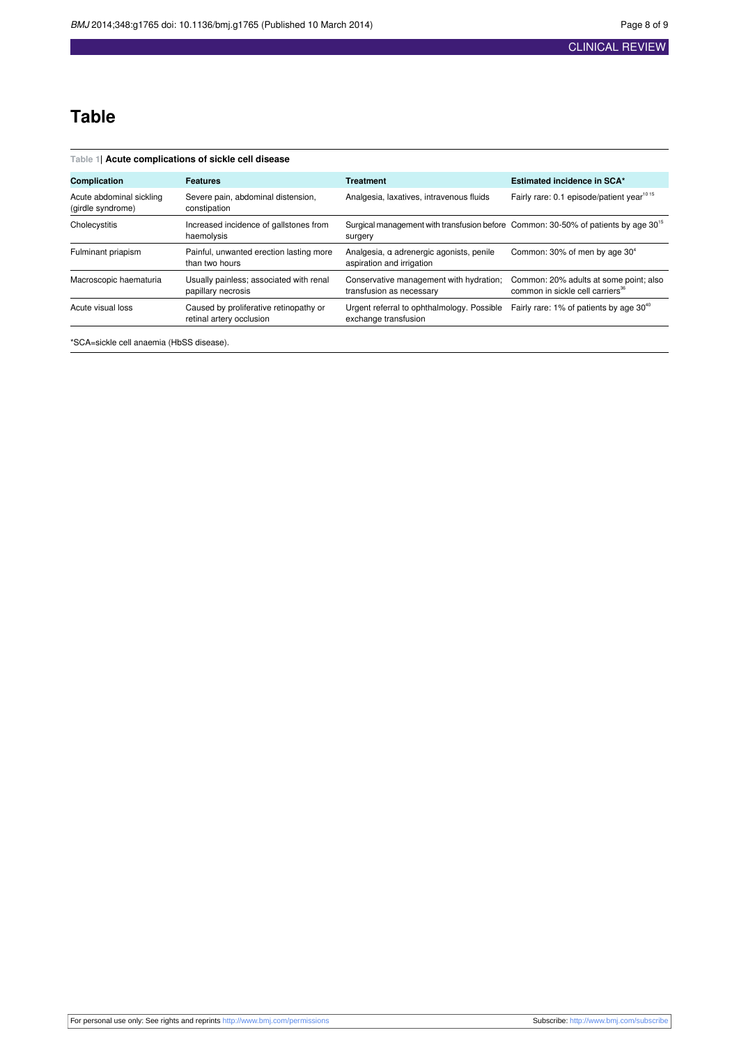## **Table**

<span id="page-7-0"></span>

| Table 1 Acute complications of sickle cell disease |
|----------------------------------------------------|
|----------------------------------------------------|

| <b>Complication</b>                           | <b>Features</b>                                                    | <b>Treatment</b>                                                                                          | Estimated incidence in SCA*                                                            |
|-----------------------------------------------|--------------------------------------------------------------------|-----------------------------------------------------------------------------------------------------------|----------------------------------------------------------------------------------------|
| Acute abdominal sickling<br>(girdle syndrome) | Severe pain, abdominal distension,<br>constipation                 | Analgesia, laxatives, intravenous fluids                                                                  | Fairly rare: 0.1 episode/patient year <sup>1015</sup>                                  |
| Cholecystitis                                 | Increased incidence of gallstones from<br>haemolysis               | Surgical management with transfusion before Common: 30-50% of patients by age 30 <sup>15</sup><br>surgery |                                                                                        |
| Fulminant priapism                            | Painful, unwanted erection lasting more<br>than two hours          | Analgesia, a adrenergic agonists, penile<br>aspiration and irrigation                                     | Common: 30% of men by age 30 <sup>4</sup>                                              |
| Macroscopic haematuria                        | Usually painless; associated with renal<br>papillary necrosis      | Conservative management with hydration;<br>transfusion as necessary                                       | Common: 20% adults at some point; also<br>common in sickle cell carriers <sup>36</sup> |
| Acute visual loss                             | Caused by proliferative retinopathy or<br>retinal artery occlusion | Urgent referral to ophthalmology. Possible<br>exchange transfusion                                        | Fairly rare: 1% of patients by age 30 <sup>40</sup>                                    |

\*SCA=sickle cell anaemia (HbSS disease).